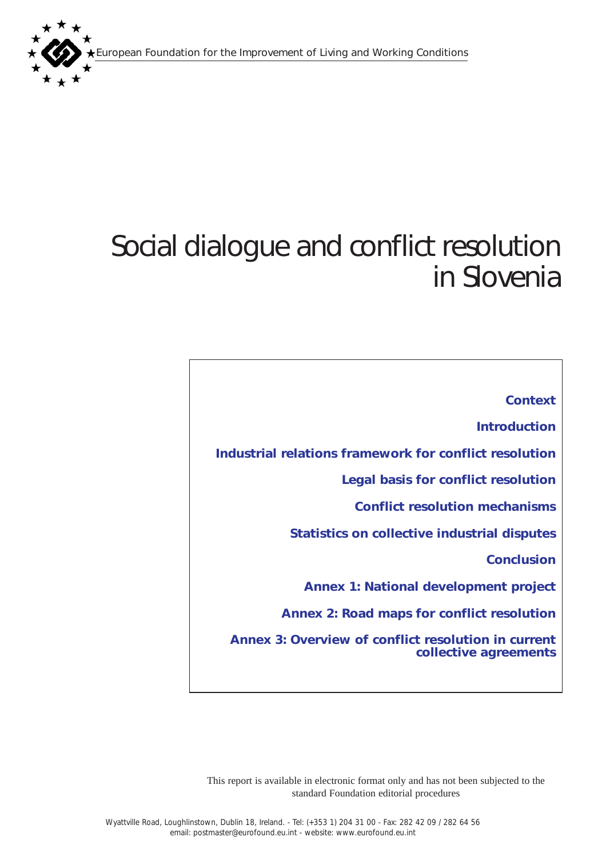European Foundation for the Improvement of Living and Working Conditions



# Social dialogue and conflict resolution in Slovenia

*[Context](#page-1-0) [Introduction](#page-1-0) [Industrial relations framework for conflict resolution](#page-2-0)  [Legal basis for conflict resolution](#page-3-0) [Conflict resolution mechanisms](#page-4-0) [Statistics on collective industrial disputes](#page-5-0)  [Conclusion](#page-6-0) [Annex 1: National development project](#page-8-0) [Annex 2: Road maps for conflict resolution](#page-11-0) [Annex 3: Overview of conflict resolution in current](#page-13-0) collective agreements* 

This report is available in electronic format only and has not been subjected to the standard Foundation editorial procedures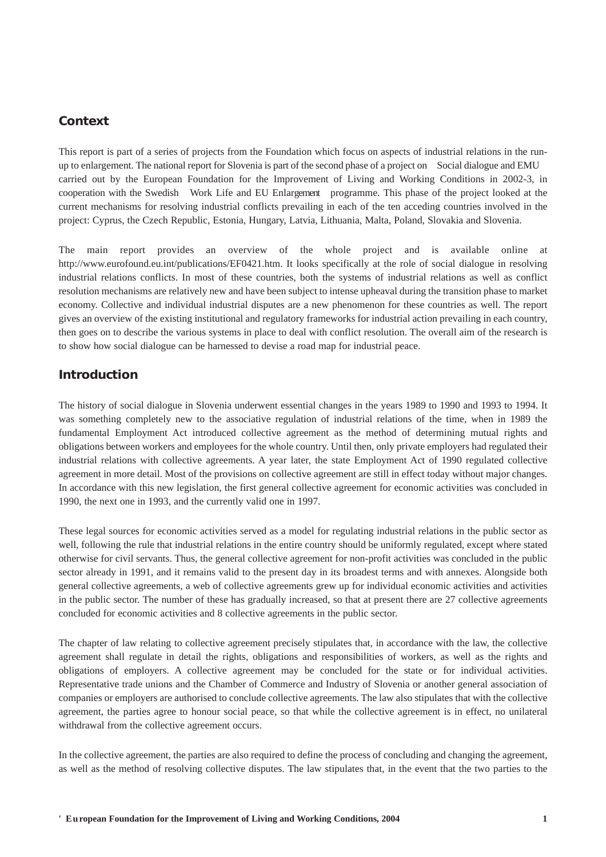# <span id="page-1-0"></span>*Context*

This report is part of a series of projects from the Foundation which focus on aspects of industrial relations in the runup to enlargement. The national report for Slovenia is part of the second phase of a project on Social dialogue and EMU carried out by the European Foundation for the Improvement of Living and Working Conditions in 2002-3, in cooperation with the Swedish Work Life and EU Enlargement programme. This phase of the project looked at the current mechanisms for resolving industrial conflicts prevailing in each of the ten acceding countries involved in the project: Cyprus, the Czech Republic, Estonia, Hungary, Latvia, Lithuania, Malta, Poland, Slovakia and Slovenia.

The main report provides an overview of the whole project and is available online at http://www.eurofound.eu.int/publications/EF0421.htm. It looks specifically at the role of social dialogue in resolving industrial relations conflicts. In most of these countries, both the systems of industrial relations as well as conflict resolution mechanisms are relatively new and have been subject to intense upheaval during the transition phase to market economy. Collective and individual industrial disputes are a new phenomenon for these countries as well. The report gives an overview of the existing institutional and regulatory frameworks for industrial action prevailing in each country, then goes on to describe the various systems in place to deal with conflict resolution. The overall aim of the research is to show how social dialogue can be harnessed to devise a road map for industrial peace.

## *Introduction*

The history of social dialogue in Slovenia underwent essential changes in the years 1989 to 1990 and 1993 to 1994. It was something completely new to the associative regulation of industrial relations of the time, when in 1989 the fundamental Employment Act introduced collective agreement as the method of determining mutual rights and obligations between workers and employees for the whole country. Until then, only private employers had regulated their industrial relations with collective agreements. A year later, the state Employment Act of 1990 regulated collective agreement in more detail. Most of the provisions on collective agreement are still in effect today without major changes. In accordance with this new legislation, the first general collective agreement for economic activities was concluded in 1990, the next one in 1993, and the currently valid one in 1997.

These legal sources for economic activities served as a model for regulating industrial relations in the public sector as well, following the rule that industrial relations in the entire country should be uniformly regulated, except where stated otherwise for civil servants. Thus, the general collective agreement for non-profit activities was concluded in the public sector already in 1991, and it remains valid to the present day in its broadest terms and with annexes. Alongside both general collective agreements, a web of collective agreements grew up for individual economic activities and activities in the public sector. The number of these has gradually increased, so that at present there are 27 collective agreements concluded for economic activities and 8 collective agreements in the public sector.

The chapter of law relating to collective agreement precisely stipulates that, in accordance with the law, the collective agreement shall regulate in detail the rights, obligations and responsibilities of workers, as well as the rights and obligations of employers. A collective agreement may be concluded for the state or for individual activities. Representative trade unions and the Chamber of Commerce and Industry of Slovenia or another general association of companies or employers are authorised to conclude collective agreements. The law also stipulates that with the collective agreement, the parties agree to honour social peace, so that while the collective agreement is in effect, no unilateral withdrawal from the collective agreement occurs.

In the collective agreement, the parties are also required to define the process of concluding and changing the agreement, as well as the method of resolving collective disputes. The law stipulates that, in the event that the two parties to the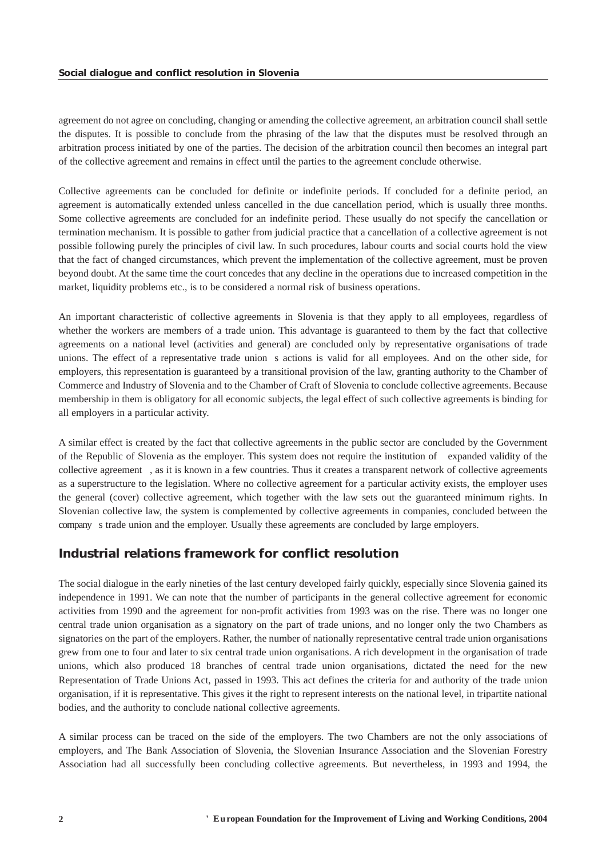<span id="page-2-0"></span>agreement do not agree on concluding, changing or amending the collective agreement, an arbitration council shall settle the disputes. It is possible to conclude from the phrasing of the law that the disputes must be resolved through an arbitration process initiated by one of the parties. The decision of the arbitration council then becomes an integral part of the collective agreement and remains in effect until the parties to the agreement conclude otherwise.

Collective agreements can be concluded for definite or indefinite periods. If concluded for a definite period, an agreement is automatically extended unless cancelled in the due cancellation period, which is usually three months. Some collective agreements are concluded for an indefinite period. These usually do not specify the cancellation or termination mechanism. It is possible to gather from judicial practice that a cancellation of a collective agreement is not possible following purely the principles of civil law. In such procedures, labour courts and social courts hold the view that the fact of changed circumstances, which prevent the implementation of the collective agreement, must be proven beyond doubt. At the same time the court concedes that any decline in the operations due to increased competition in the market, liquidity problems etc., is to be considered a normal risk of business operations.

An important characteristic of collective agreements in Slovenia is that they apply to all employees, regardless of whether the workers are members of a trade union. This advantage is guaranteed to them by the fact that collective agreements on a national level (activities and general) are concluded only by representative organisations of trade unions. The effect of a representative trade union s actions is valid for all employees. And on the other side, for employers, this representation is guaranteed by a transitional provision of the law, granting authority to the Chamber of Commerce and Industry of Slovenia and to the Chamber of Craft of Slovenia to conclude collective agreements. Because membership in them is obligatory for all economic subjects, the legal effect of such collective agreements is binding for all employers in a particular activity.

A similar effect is created by the fact that collective agreements in the public sector are concluded by the Government of the Republic of Slovenia as the employer. This system does not require the institution of expanded validity of the collective agreement, as it is known in a few countries. Thus it creates a transparent network of collective agreements as a superstructure to the legislation. Where no collective agreement for a particular activity exists, the employer uses the general (cover) collective agreement, which together with the law sets out the guaranteed minimum rights. In Slovenian collective law, the system is complemented by collective agreements in companies, concluded between the company s trade union and the employer. Usually these agreements are concluded by large employers.

# *Industrial relations framework for conflict resolution*

The social dialogue in the early nineties of the last century developed fairly quickly, especially since Slovenia gained its independence in 1991. We can note that the number of participants in the general collective agreement for economic activities from 1990 and the agreement for non-profit activities from 1993 was on the rise. There was no longer one central trade union organisation as a signatory on the part of trade unions, and no longer only the two Chambers as signatories on the part of the employers. Rather, the number of nationally representative central trade union organisations grew from one to four and later to six central trade union organisations. A rich development in the organisation of trade unions, which also produced 18 branches of central trade union organisations, dictated the need for the new Representation of Trade Unions Act, passed in 1993. This act defines the criteria for and authority of the trade union organisation, if it is representative. This gives it the right to represent interests on the national level, in tripartite national bodies, and the authority to conclude national collective agreements.

A similar process can be traced on the side of the employers. The two Chambers are not the only associations of employers, and The Bank Association of Slovenia, the Slovenian Insurance Association and the Slovenian Forestry Association had all successfully been concluding collective agreements. But nevertheless, in 1993 and 1994, the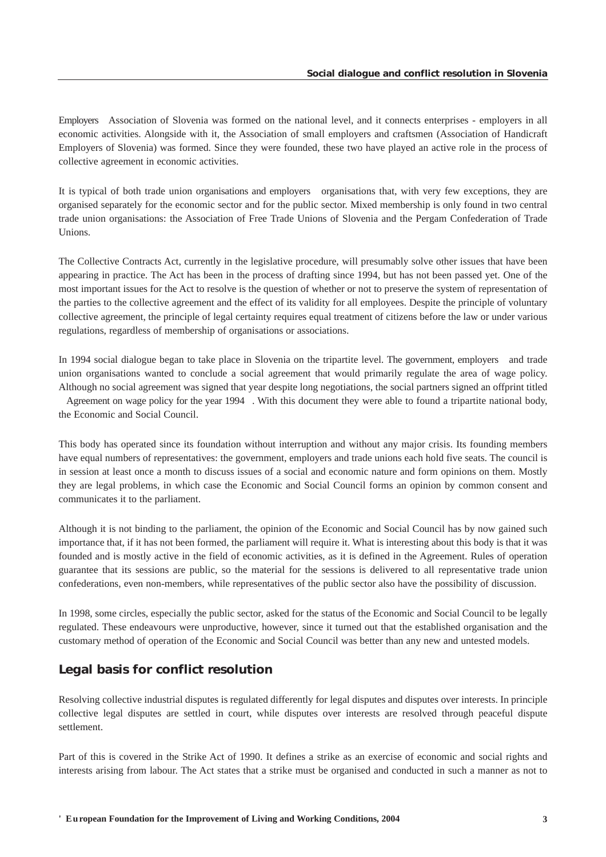<span id="page-3-0"></span>Employers Association of Slovenia was formed on the national level, and it connects enterprises - employers in all economic activities. Alongside with it, the Association of small employers and craftsmen (Association of Handicraft Employers of Slovenia) was formed. Since they were founded, these two have played an active role in the process of collective agreement in economic activities.

It is typical of both trade union organisations and employers organisations that, with very few exceptions, they are organised separately for the economic sector and for the public sector. Mixed membership is only found in two central trade union organisations: the Association of Free Trade Unions of Slovenia and the Pergam Confederation of Trade Unions.

The Collective Contracts Act, currently in the legislative procedure, will presumably solve other issues that have been appearing in practice. The Act has been in the process of drafting since 1994, but has not been passed yet. One of the most important issues for the Act to resolve is the question of whether or not to preserve the system of representation of the parties to the collective agreement and the effect of its validity for all employees. Despite the principle of voluntary collective agreement, the principle of legal certainty requires equal treatment of citizens before the law or under various regulations, regardless of membership of organisations or associations.

In 1994 social dialogue began to take place in Slovenia on the tripartite level. The government, employers and trade union organisations wanted to conclude a social agreement that would primarily regulate the area of wage policy. Although no social agreement was signed that year despite long negotiations, the social partners signed an offprint titled

Agreement on wage policy for the year 1994. With this document they were able to found a tripartite national body, the Economic and Social Council.

This body has operated since its foundation without interruption and without any major crisis. Its founding members have equal numbers of representatives: the government, employers and trade unions each hold five seats. The council is in session at least once a month to discuss issues of a social and economic nature and form opinions on them. Mostly they are legal problems, in which case the Economic and Social Council forms an opinion by common consent and communicates it to the parliament.

Although it is not binding to the parliament, the opinion of the Economic and Social Council has by now gained such importance that, if it has not been formed, the parliament will require it. What is interesting about this body is that it was founded and is mostly active in the field of economic activities, as it is defined in the Agreement. Rules of operation guarantee that its sessions are public, so the material for the sessions is delivered to all representative trade union confederations, even non-members, while representatives of the public sector also have the possibility of discussion.

In 1998, some circles, especially the public sector, asked for the status of the Economic and Social Council to be legally regulated. These endeavours were unproductive, however, since it turned out that the established organisation and the customary method of operation of the Economic and Social Council was better than any new and untested models.

## *Legal basis for conflict resolution*

Resolving collective industrial disputes is regulated differently for legal disputes and disputes over interests. In principle collective legal disputes are settled in court, while disputes over interests are resolved through peaceful dispute settlement.

Part of this is covered in the Strike Act of 1990. It defines a strike as an exercise of economic and social rights and interests arising from labour. The Act states that a strike must be organised and conducted in such a manner as not to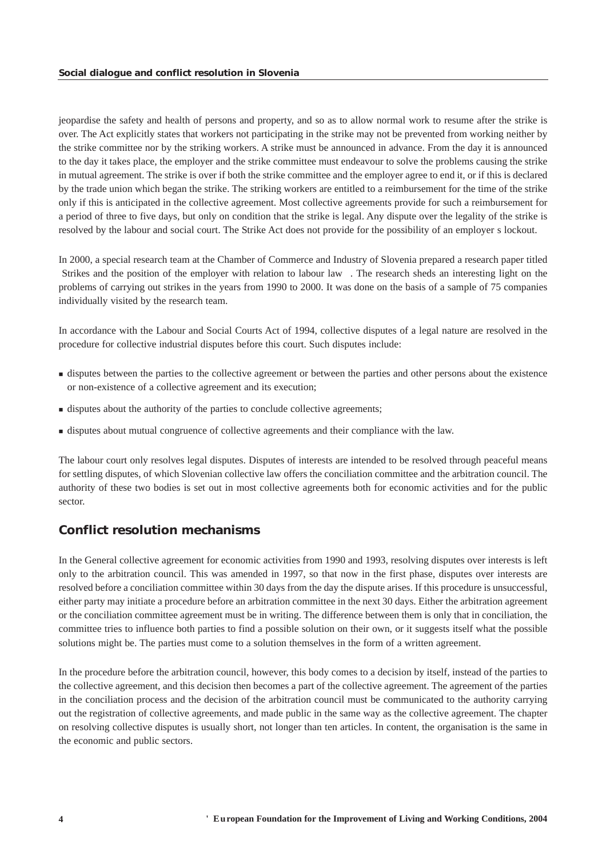<span id="page-4-0"></span>jeopardise the safety and health of persons and property, and so as to allow normal work to resume after the strike is over. The Act explicitly states that workers not participating in the strike may not be prevented from working neither by the strike committee nor by the striking workers. A strike must be announced in advance. From the day it is announced to the day it takes place, the employer and the strike committee must endeavour to solve the problems causing the strike in mutual agreement. The strike is over if both the strike committee and the employer agree to end it, or if this is declared by the trade union which began the strike. The striking workers are entitled to a reimbursement for the time of the strike only if this is anticipated in the collective agreement. Most collective agreements provide for such a reimbursement for a period of three to five days, but only on condition that the strike is legal. Any dispute over the legality of the strike is resolved by the labour and social court. The Strike Act does not provide for the possibility of an employers lockout.

In 2000, a special research team at the Chamber of Commerce and Industry of Slovenia prepared a research paper titled Strikes and the position of the employer with relation to labour law. The research sheds an interesting light on the problems of carrying out strikes in the years from 1990 to 2000. It was done on the basis of a sample of 75 companies individually visited by the research team.

In accordance with the Labour and Social Courts Act of 1994, collective disputes of a legal nature are resolved in the procedure for collective industrial disputes before this court. Such disputes include:

- **s** disputes between the parties to the collective agreement or between the parties and other persons about the existence or non-existence of a collective agreement and its execution;
- disputes about the authority of the parties to conclude collective agreements;
- disputes about mutual congruence of collective agreements and their compliance with the law.

The labour court only resolves legal disputes. Disputes of interests are intended to be resolved through peaceful means for settling disputes, of which Slovenian collective law offers the conciliation committee and the arbitration council. The authority of these two bodies is set out in most collective agreements both for economic activities and for the public sector.

# *Conflict resolution mechanisms*

In the General collective agreement for economic activities from 1990 and 1993, resolving disputes over interests is left only to the arbitration council. This was amended in 1997, so that now in the first phase, disputes over interests are resolved before a conciliation committee within 30 days from the day the dispute arises. If this procedure is unsuccessful, either party may initiate a procedure before an arbitration committee in the next 30 days. Either the arbitration agreement or the conciliation committee agreement must be in writing. The difference between them is only that in conciliation, the committee tries to influence both parties to find a possible solution on their own, or it suggests itself what the possible solutions might be. The parties must come to a solution themselves in the form of a written agreement.

In the procedure before the arbitration council, however, this body comes to a decision by itself, instead of the parties to the collective agreement, and this decision then becomes a part of the collective agreement. The agreement of the parties in the conciliation process and the decision of the arbitration council must be communicated to the authority carrying out the registration of collective agreements, and made public in the same way as the collective agreement. The chapter on resolving collective disputes is usually short, not longer than ten articles. In content, the organisation is the same in the economic and public sectors.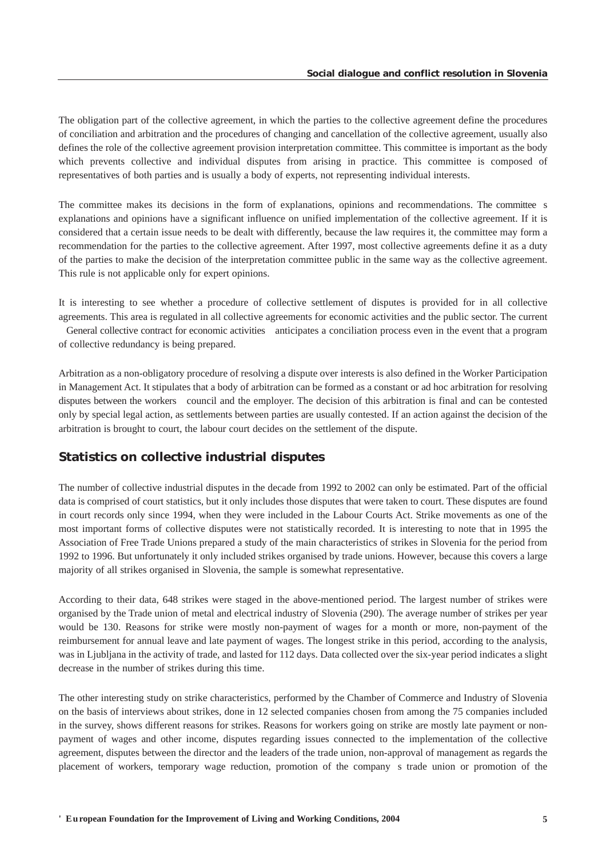<span id="page-5-0"></span>The obligation part of the collective agreement, in which the parties to the collective agreement define the procedures of conciliation and arbitration and the procedures of changing and cancellation of the collective agreement, usually also defines the role of the collective agreement provision interpretation committee. This committee is important as the body which prevents collective and individual disputes from arising in practice. This committee is composed of representatives of both parties and is usually a body of experts, not representing individual interests.

The committee makes its decisions in the form of explanations, opinions and recommendations. The committee s explanations and opinions have a significant influence on unified implementation of the collective agreement. If it is considered that a certain issue needs to be dealt with differently, because the law requires it, the committee may form a recommendation for the parties to the collective agreement. After 1997, most collective agreements define it as a duty of the parties to make the decision of the interpretation committee public in the same way as the collective agreement. This rule is not applicable only for expert opinions.

It is interesting to see whether a procedure of collective settlement of disputes is provided for in all collective agreements. This area is regulated in all collective agreements for economic activities and the public sector. The current General collective contract for economic activities anticipates a conciliation process even in the event that a program of collective redundancy is being prepared.

Arbitration as a non-obligatory procedure of resolving a dispute over interests is also defined in the Worker Participation in Management Act. It stipulates that a body of arbitration can be formed as a constant or ad hoc arbitration for resolving disputes between the workers council and the employer. The decision of this arbitration is final and can be contested only by special legal action, as settlements between parties are usually contested. If an action against the decision of the arbitration is brought to court, the labour court decides on the settlement of the dispute.

## *Statistics on collective industrial disputes*

The number of collective industrial disputes in the decade from 1992 to 2002 can only be estimated. Part of the official data is comprised of court statistics, but it only includes those disputes that were taken to court. These disputes are found in court records only since 1994, when they were included in the Labour Courts Act. Strike movements as one of the most important forms of collective disputes were not statistically recorded. It is interesting to note that in 1995 the Association of Free Trade Unions prepared a study of the main characteristics of strikes in Slovenia for the period from 1992 to 1996. But unfortunately it only included strikes organised by trade unions. However, because this covers a large majority of all strikes organised in Slovenia, the sample is somewhat representative.

According to their data, 648 strikes were staged in the above-mentioned period. The largest number of strikes were organised by the Trade union of metal and electrical industry of Slovenia (290). The average number of strikes per year would be 130. Reasons for strike were mostly non-payment of wages for a month or more, non-payment of the reimbursement for annual leave and late payment of wages. The longest strike in this period, according to the analysis, was in Ljubljana in the activity of trade, and lasted for 112 days. Data collected over the six-year period indicates a slight decrease in the number of strikes during this time.

The other interesting study on strike characteristics, performed by the Chamber of Commerce and Industry of Slovenia on the basis of interviews about strikes, done in 12 selected companies chosen from among the 75 companies included in the survey, shows different reasons for strikes. Reasons for workers going on strike are mostly late payment or nonpayment of wages and other income, disputes regarding issues connected to the implementation of the collective agreement, disputes between the director and the leaders of the trade union, non-approval of management as regards the placement of workers, temporary wage reduction, promotion of the companys trade union or promotion of the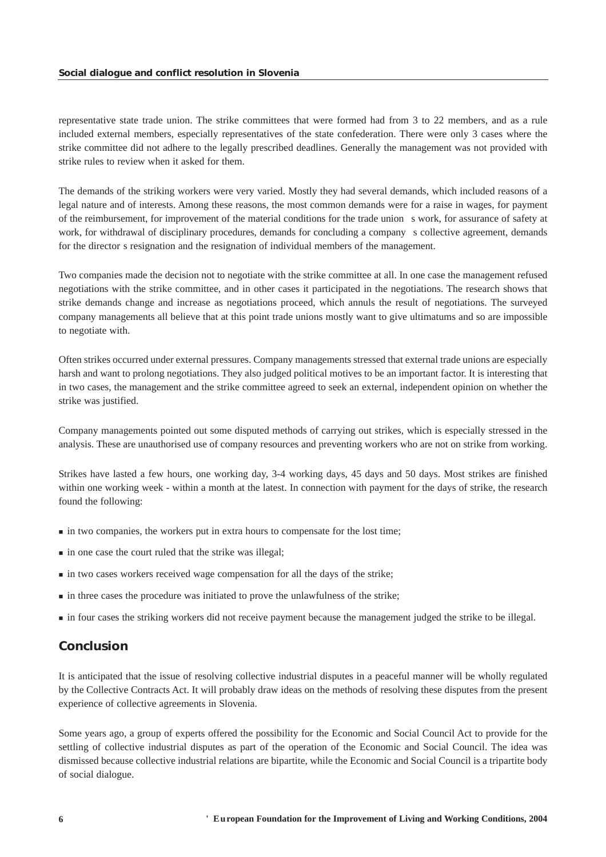<span id="page-6-0"></span>representative state trade union. The strike committees that were formed had from 3 to 22 members, and as a rule included external members, especially representatives of the state confederation. There were only 3 cases where the strike committee did not adhere to the legally prescribed deadlines. Generally the management was not provided with strike rules to review when it asked for them.

The demands of the striking workers were very varied. Mostly they had several demands, which included reasons of a legal nature and of interests. Among these reasons, the most common demands were for a raise in wages, for payment of the reimbursement, for improvement of the material conditions for the trade unions work, for assurance of safety at work, for withdrawal of disciplinary procedures, demands for concluding a company s collective agreement, demands for the director s resignation and the resignation of individual members of the management.

Two companies made the decision not to negotiate with the strike committee at all. In one case the management refused negotiations with the strike committee, and in other cases it participated in the negotiations. The research shows that strike demands change and increase as negotiations proceed, which annuls the result of negotiations. The surveyed company managements all believe that at this point trade unions mostly want to give ultimatums and so are impossible to negotiate with.

Often strikes occurred under external pressures. Company managements stressed that external trade unions are especially harsh and want to prolong negotiations. They also judged political motives to be an important factor. It is interesting that in two cases, the management and the strike committee agreed to seek an external, independent opinion on whether the strike was justified.

Company managements pointed out some disputed methods of carrying out strikes, which is especially stressed in the analysis. These are unauthorised use of company resources and preventing workers who are not on strike from working.

Strikes have lasted a few hours, one working day, 3-4 working days, 45 days and 50 days. Most strikes are finished within one working week - within a month at the latest. In connection with payment for the days of strike, the research found the following:

- in two companies, the workers put in extra hours to compensate for the lost time;
- $\blacksquare$  in one case the court ruled that the strike was illegal:
- in two cases workers received wage compensation for all the days of the strike;
- in three cases the procedure was initiated to prove the unlawfulness of the strike;
- in four cases the striking workers did not receive payment because the management judged the strike to be illegal.

## *Conclusion*

It is anticipated that the issue of resolving collective industrial disputes in a peaceful manner will be wholly regulated by the Collective Contracts Act. It will probably draw ideas on the methods of resolving these disputes from the present experience of collective agreements in Slovenia.

Some years ago, a group of experts offered the possibility for the Economic and Social Council Act to provide for the settling of collective industrial disputes as part of the operation of the Economic and Social Council. The idea was dismissed because collective industrial relations are bipartite, while the Economic and Social Council is a tripartite body of social dialogue.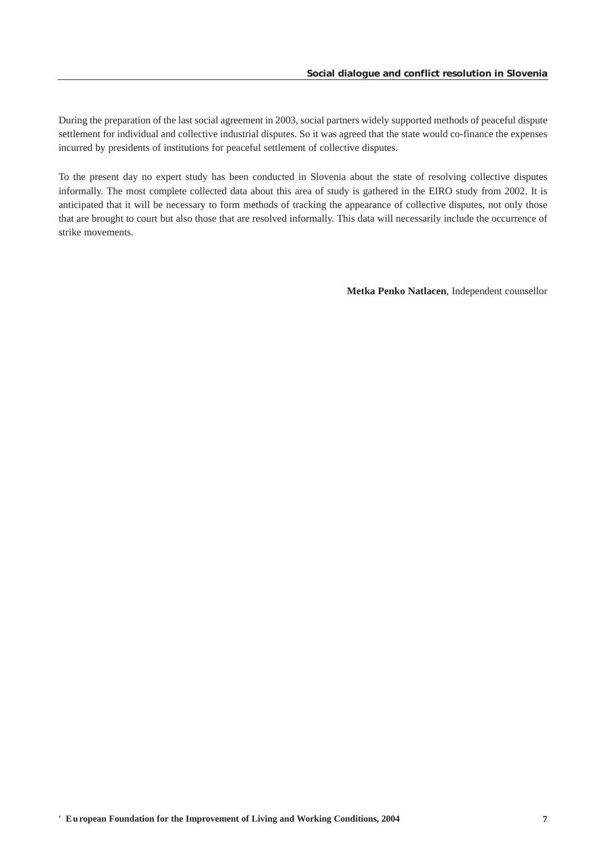During the preparation of the last social agreement in 2003, social partners widely supported methods of peaceful dispute settlement for individual and collective industrial disputes. So it was agreed that the state would co-finance the expenses incurred by presidents of institutions for peaceful settlement of collective disputes.

To the present day no expert study has been conducted in Slovenia about the state of resolving collective disputes informally. The most complete collected data about this area of study is gathered in the EIRO study from 2002. It is anticipated that it will be necessary to form methods of tracking the appearance of collective disputes, not only those that are brought to court but also those that are resolved informally. This data will necessarily include the occurrence of strike movements.

**Metka Penko Natlacen**, Independent counsellor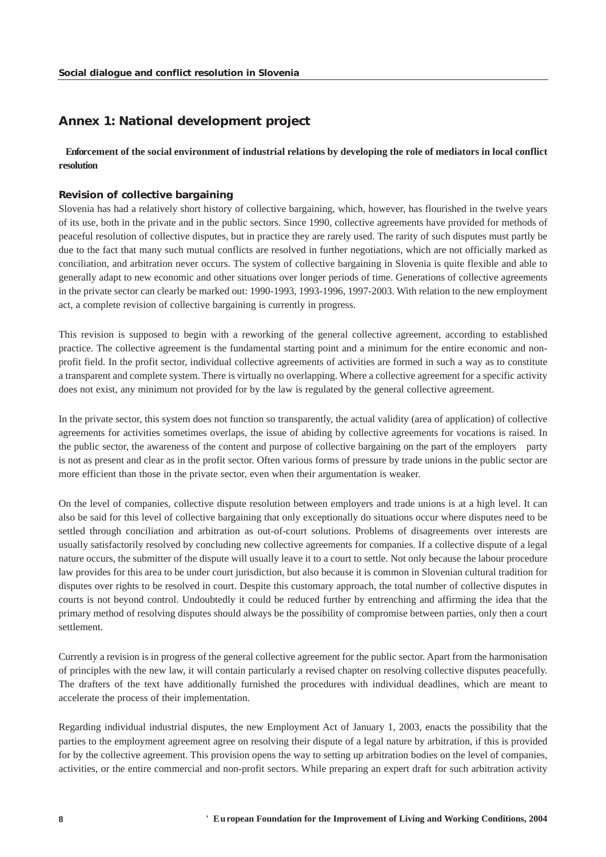# <span id="page-8-0"></span>*Annex 1: National development project*

### **Enforcement of the social environment of industrial relations by developing the role of mediators in local conflict resolution**

#### *Revision of collective bargaining*

Slovenia has had a relatively short history of collective bargaining, which, however, has flourished in the twelve years of its use, both in the private and in the public sectors. Since 1990, collective agreements have provided for methods of peaceful resolution of collective disputes, but in practice they are rarely used. The rarity of such disputes must partly be due to the fact that many such mutual conflicts are resolved in further negotiations, which are not officially marked as conciliation, and arbitration never occurs. The system of collective bargaining in Slovenia is quite flexible and able to generally adapt to new economic and other situations over longer periods of time. Generations of collective agreements in the private sector can clearly be marked out: 1990-1993, 1993-1996, 1997-2003. With relation to the new employment act, a complete revision of collective bargaining is currently in progress.

This revision is supposed to begin with a reworking of the general collective agreement, according to established practice. The collective agreement is the fundamental starting point and a minimum for the entire economic and nonprofit field. In the profit sector, individual collective agreements of activities are formed in such a way as to constitute a transparent and complete system. There is virtually no overlapping. Where a collective agreement for a specific activity does not exist, any minimum not provided for by the law is regulated by the general collective agreement.

In the private sector, this system does not function so transparently, the actual validity (area of application) of collective agreements for activities sometimes overlaps, the issue of abiding by collective agreements for vocations is raised. In the public sector, the awareness of the content and purpose of collective bargaining on the part of the employers party is not as present and clear as in the profit sector. Often various forms of pressure by trade unions in the public sector are more efficient than those in the private sector, even when their argumentation is weaker.

On the level of companies, collective dispute resolution between employers and trade unions is at a high level. It can also be said for this level of collective bargaining that only exceptionally do situations occur where disputes need to be settled through conciliation and arbitration as out-of-court solutions. Problems of disagreements over interests are usually satisfactorily resolved by concluding new collective agreements for companies. If a collective dispute of a legal nature occurs, the submitter of the dispute will usually leave it to a court to settle. Not only because the labour procedure law provides for this area to be under court jurisdiction, but also because it is common in Slovenian cultural tradition for disputes over rights to be resolved in court. Despite this customary approach, the total number of collective disputes in courts is not beyond control. Undoubtedly it could be reduced further by entrenching and affirming the idea that the primary method of resolving disputes should always be the possibility of compromise between parties, only then a court settlement.

Currently a revision is in progress of the general collective agreement for the public sector. Apart from the harmonisation of principles with the new law, it will contain particularly a revised chapter on resolving collective disputes peacefully. The drafters of the text have additionally furnished the procedures with individual deadlines, which are meant to accelerate the process of their implementation.

Regarding individual industrial disputes, the new Employment Act of January 1, 2003, enacts the possibility that the parties to the employment agreement agree on resolving their dispute of a legal nature by arbitration, if this is provided for by the collective agreement. This provision opens the way to setting up arbitration bodies on the level of companies, activities, or the entire commercial and non-profit sectors. While preparing an expert draft for such arbitration activity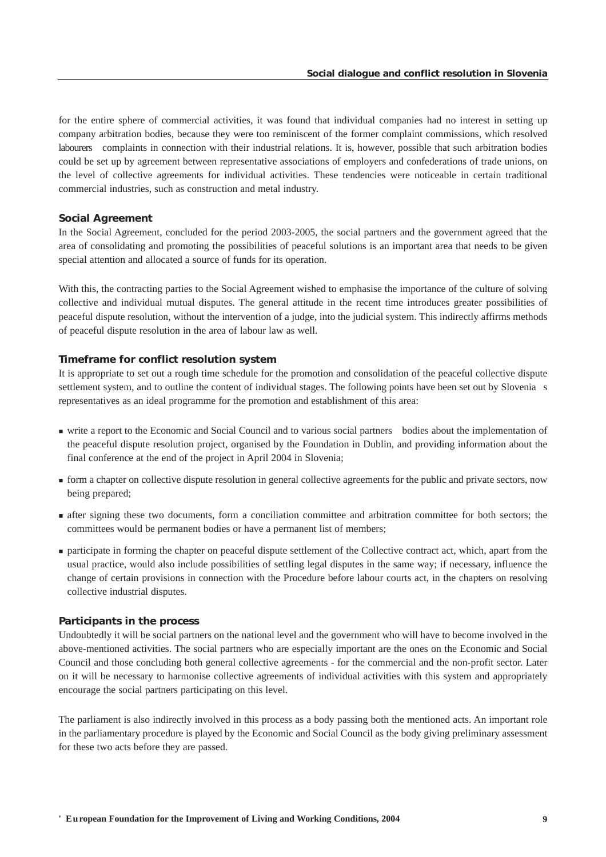for the entire sphere of commercial activities, it was found that individual companies had no interest in setting up company arbitration bodies, because they were too reminiscent of the former complaint commissions, which resolved labourers complaints in connection with their industrial relations. It is, however, possible that such arbitration bodies could be set up by agreement between representative associations of employers and confederations of trade unions, on the level of collective agreements for individual activities. These tendencies were noticeable in certain traditional commercial industries, such as construction and metal industry.

#### *Social Agreement*

In the Social Agreement, concluded for the period 2003-2005, the social partners and the government agreed that the area of consolidating and promoting the possibilities of peaceful solutions is an important area that needs to be given special attention and allocated a source of funds for its operation.

With this, the contracting parties to the Social Agreement wished to emphasise the importance of the culture of solving collective and individual mutual disputes. The general attitude in the recent time introduces greater possibilities of peaceful dispute resolution, without the intervention of a judge, into the judicial system. This indirectly affirms methods of peaceful dispute resolution in the area of labour law as well.

#### *Timeframe for conflict resolution system*

It is appropriate to set out a rough time schedule for the promotion and consolidation of the peaceful collective dispute settlement system, and to outline the content of individual stages. The following points have been set out by Slovenia s representatives as an ideal programme for the promotion and establishment of this area:

- write a report to the Economic and Social Council and to various social partners bodies about the implementation of the peaceful dispute resolution project, organised by the Foundation in Dublin, and providing information about the final conference at the end of the project in April 2004 in Slovenia;
- form a chapter on collective dispute resolution in general collective agreements for the public and private sectors, now being prepared;
- after signing these two documents, form a conciliation committee and arbitration committee for both sectors; the committees would be permanent bodies or have a permanent list of members;
- participate in forming the chapter on peaceful dispute settlement of the Collective contract act, which, apart from the usual practice, would also include possibilities of settling legal disputes in the same way; if necessary, influence the change of certain provisions in connection with the Procedure before labour courts act, in the chapters on resolving collective industrial disputes.

#### *Participants in the process*

Undoubtedly it will be social partners on the national level and the government who will have to become involved in the above-mentioned activities. The social partners who are especially important are the ones on the Economic and Social Council and those concluding both general collective agreements - for the commercial and the non-profit sector. Later on it will be necessary to harmonise collective agreements of individual activities with this system and appropriately encourage the social partners participating on this level.

The parliament is also indirectly involved in this process as a body passing both the mentioned acts. An important role in the parliamentary procedure is played by the Economic and Social Council as the body giving preliminary assessment for these two acts before they are passed.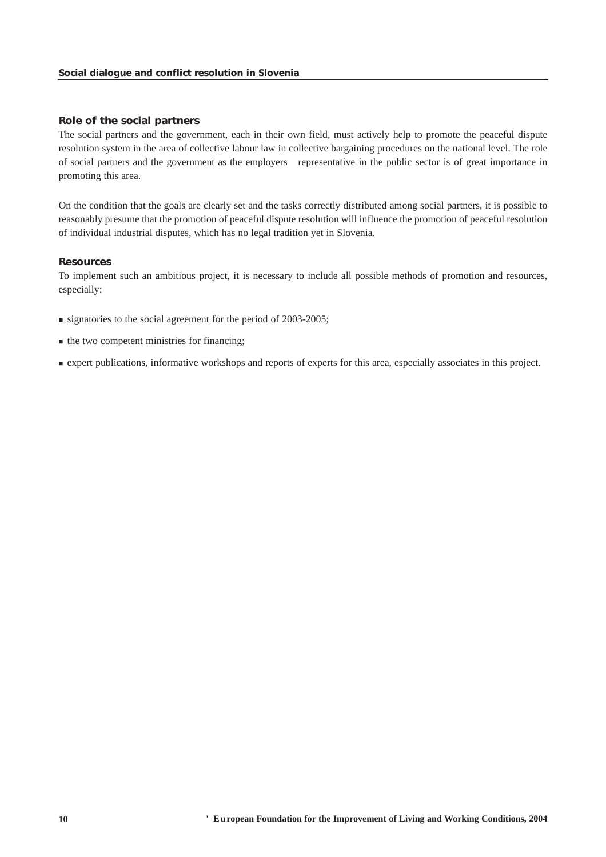#### *Role of the social partners*

The social partners and the government, each in their own field, must actively help to promote the peaceful dispute resolution system in the area of collective labour law in collective bargaining procedures on the national level. The role of social partners and the government as the employers representative in the public sector is of great importance in promoting this area.

On the condition that the goals are clearly set and the tasks correctly distributed among social partners, it is possible to reasonably presume that the promotion of peaceful dispute resolution will influence the promotion of peaceful resolution of individual industrial disputes, which has no legal tradition yet in Slovenia.

#### *Resources*

To implement such an ambitious project, it is necessary to include all possible methods of promotion and resources, especially:

- signatories to the social agreement for the period of 2003-2005;
- $\blacksquare$  the two competent ministries for financing;
- expert publications, informative workshops and reports of experts for this area, especially associates in this project.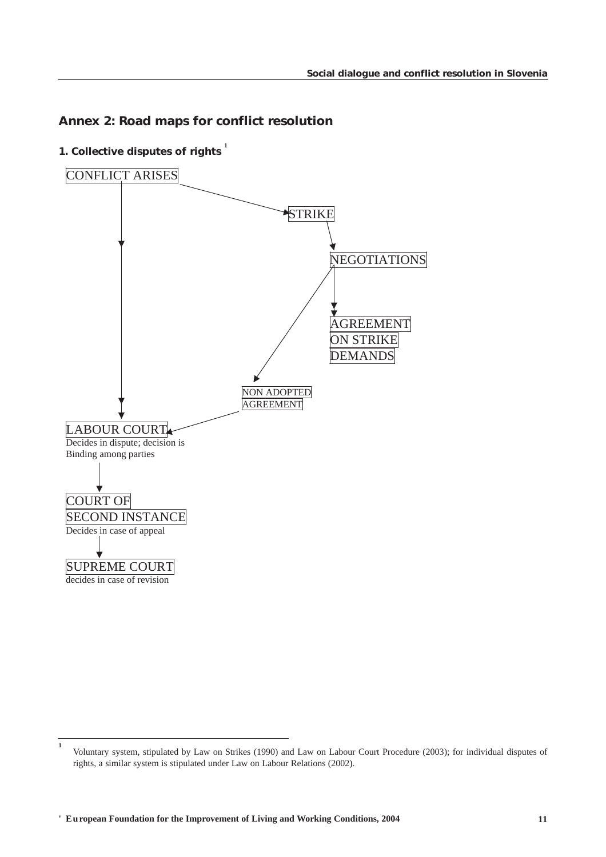# <span id="page-11-0"></span>*Annex 2: Road maps for conflict resolution*

*1. Collective disputes of rights* **<sup>1</sup>**



**<sup>1</sup>** Voluntary system, stipulated by Law on Strikes (1990) and Law on Labour Court Procedure (2003); for individual disputes of rights, a similar system is stipulated under Law on Labour Relations (2002).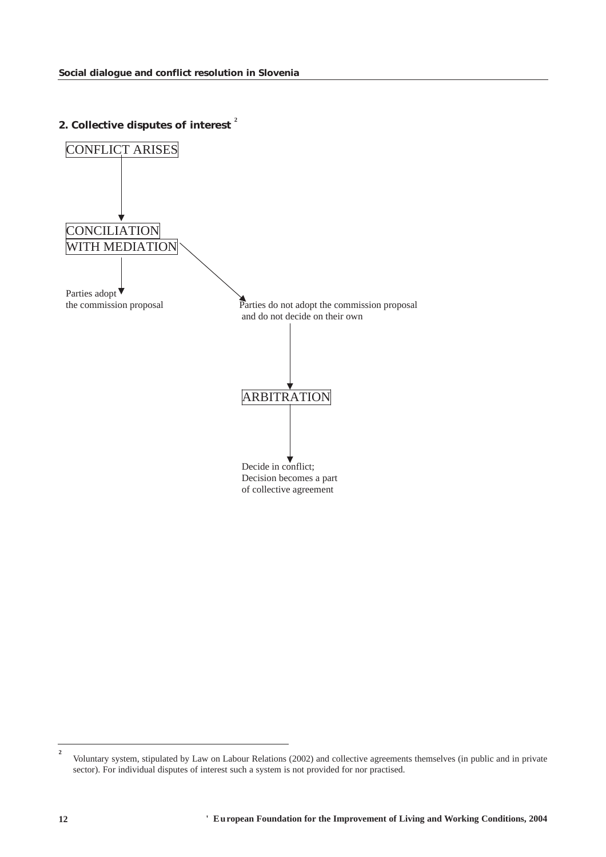*2. Collective disputes of interest* **<sup>2</sup>**



**<sup>2</sup>** Voluntary system, stipulated by Law on Labour Relations (2002) and collective agreements themselves (in public and in private sector). For individual disputes of interest such a system is not provided for nor practised.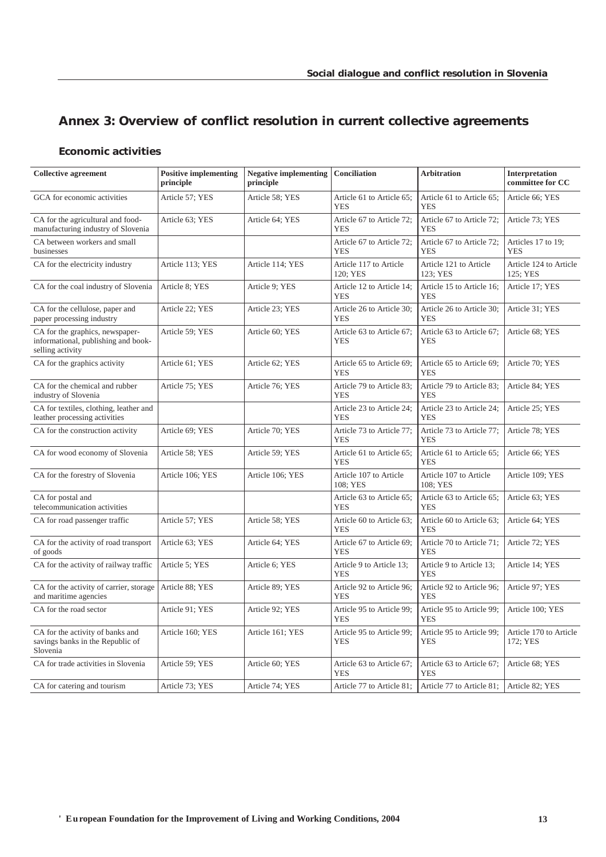# <span id="page-13-0"></span>*Annex 3: Overview of conflict resolution in current collective agreements*

# *Economic activities*

| <b>Collective agreement</b>                                                                | <b>Positive implementing</b><br>principle | <b>Negative implementing</b><br>principle | Conciliation                            | <b>Arbitration</b>                      | Interpretation<br>committee for CC |
|--------------------------------------------------------------------------------------------|-------------------------------------------|-------------------------------------------|-----------------------------------------|-----------------------------------------|------------------------------------|
| GCA for economic activities                                                                | Article 57; YES                           | Article 58; YES                           | Article 61 to Article 65:<br><b>YES</b> | Article 61 to Article 65:<br><b>YES</b> | Article 66; YES                    |
| CA for the agricultural and food-<br>manufacturing industry of Slovenia                    | Article 63; YES                           | Article 64; YES                           | Article 67 to Article 72;<br><b>YES</b> | Article 67 to Article 72;<br><b>YES</b> | Article 73; YES                    |
| CA between workers and small<br>businesses                                                 |                                           |                                           | Article 67 to Article 72;<br><b>YES</b> | Article 67 to Article 72;<br><b>YES</b> | Articles 17 to 19;<br><b>YES</b>   |
| CA for the electricity industry                                                            | Article 113; YES                          | Article 114; YES                          | Article 117 to Article<br>120; YES      | Article 121 to Article<br>123: YES      | Article 124 to Article<br>125: YES |
| CA for the coal industry of Slovenia                                                       | Article 8: YES                            | Article 9; YES                            | Article 12 to Article 14;<br><b>YES</b> | Article 15 to Article 16;<br><b>YES</b> | Article 17; YES                    |
| CA for the cellulose, paper and<br>paper processing industry                               | Article 22; YES                           | Article 23; YES                           | Article 26 to Article 30:<br><b>YES</b> | Article 26 to Article 30:<br><b>YES</b> | Article 31; YES                    |
| CA for the graphics, newspaper-<br>informational, publishing and book-<br>selling activity | Article 59; YES                           | Article 60; YES                           | Article 63 to Article 67;<br><b>YES</b> | Article 63 to Article 67;<br><b>YES</b> | Article 68; YES                    |
| CA for the graphics activity                                                               | Article 61; YES                           | Article 62; YES                           | Article 65 to Article 69;<br><b>YES</b> | Article 65 to Article 69;<br><b>YES</b> | Article 70; YES                    |
| CA for the chemical and rubber<br>industry of Slovenia                                     | Article 75; YES                           | Article 76; YES                           | Article 79 to Article 83;<br><b>YES</b> | Article 79 to Article 83;<br><b>YES</b> | Article 84; YES                    |
| CA for textiles, clothing, leather and<br>leather processing activities                    |                                           |                                           | Article 23 to Article 24;<br><b>YES</b> | Article 23 to Article 24;<br><b>YES</b> | Article 25; YES                    |
| CA for the construction activity                                                           | Article 69; YES                           | Article 70; YES                           | Article 73 to Article 77:<br><b>YES</b> | Article 73 to Article 77;<br><b>YES</b> | Article 78; YES                    |
| CA for wood economy of Slovenia                                                            | Article 58; YES                           | Article 59; YES                           | Article 61 to Article 65;<br><b>YES</b> | Article 61 to Article 65;<br><b>YES</b> | Article 66; YES                    |
| CA for the forestry of Slovenia                                                            | Article 106; YES                          | Article 106; YES                          | Article 107 to Article<br>108; YES      | Article 107 to Article<br>108; YES      | Article 109; YES                   |
| CA for postal and<br>telecommunication activities                                          |                                           |                                           | Article 63 to Article 65;<br><b>YES</b> | Article 63 to Article 65;<br><b>YES</b> | Article 63; YES                    |
| CA for road passenger traffic                                                              | Article 57; YES                           | Article 58; YES                           | Article 60 to Article 63;<br><b>YES</b> | Article 60 to Article 63;<br><b>YES</b> | Article 64; YES                    |
| CA for the activity of road transport<br>of goods                                          | Article 63; YES                           | Article 64; YES                           | Article 67 to Article 69;<br><b>YES</b> | Article 70 to Article 71;<br><b>YES</b> | Article 72; YES                    |
| CA for the activity of railway traffic                                                     | Article 5; YES                            | Article 6; YES                            | Article 9 to Article 13;<br><b>YES</b>  | Article 9 to Article 13;<br><b>YES</b>  | Article 14; YES                    |
| CA for the activity of carrier, storage<br>and maritime agencies                           | Article 88; YES                           | Article 89; YES                           | Article 92 to Article 96;<br><b>YES</b> | Article 92 to Article 96;<br><b>YES</b> | Article 97; YES                    |
| CA for the road sector                                                                     | Article 91; YES                           | Article 92; YES                           | Article 95 to Article 99;<br><b>YES</b> | Article 95 to Article 99;<br><b>YES</b> | Article 100; YES                   |
| CA for the activity of banks and<br>savings banks in the Republic of<br>Slovenia           | Article 160; YES                          | Article 161; YES                          | Article 95 to Article 99;<br><b>YES</b> | Article 95 to Article 99;<br>YES        | Article 170 to Article<br>172; YES |
| CA for trade activities in Slovenia                                                        | Article 59; YES                           | Article 60; YES                           | Article 63 to Article 67;<br><b>YES</b> | Article 63 to Article 67;<br><b>YES</b> | Article 68; YES                    |
| CA for catering and tourism                                                                | Article 73; YES                           | Article 74; YES                           | Article 77 to Article 81;               | Article 77 to Article 81;               | Article 82; YES                    |